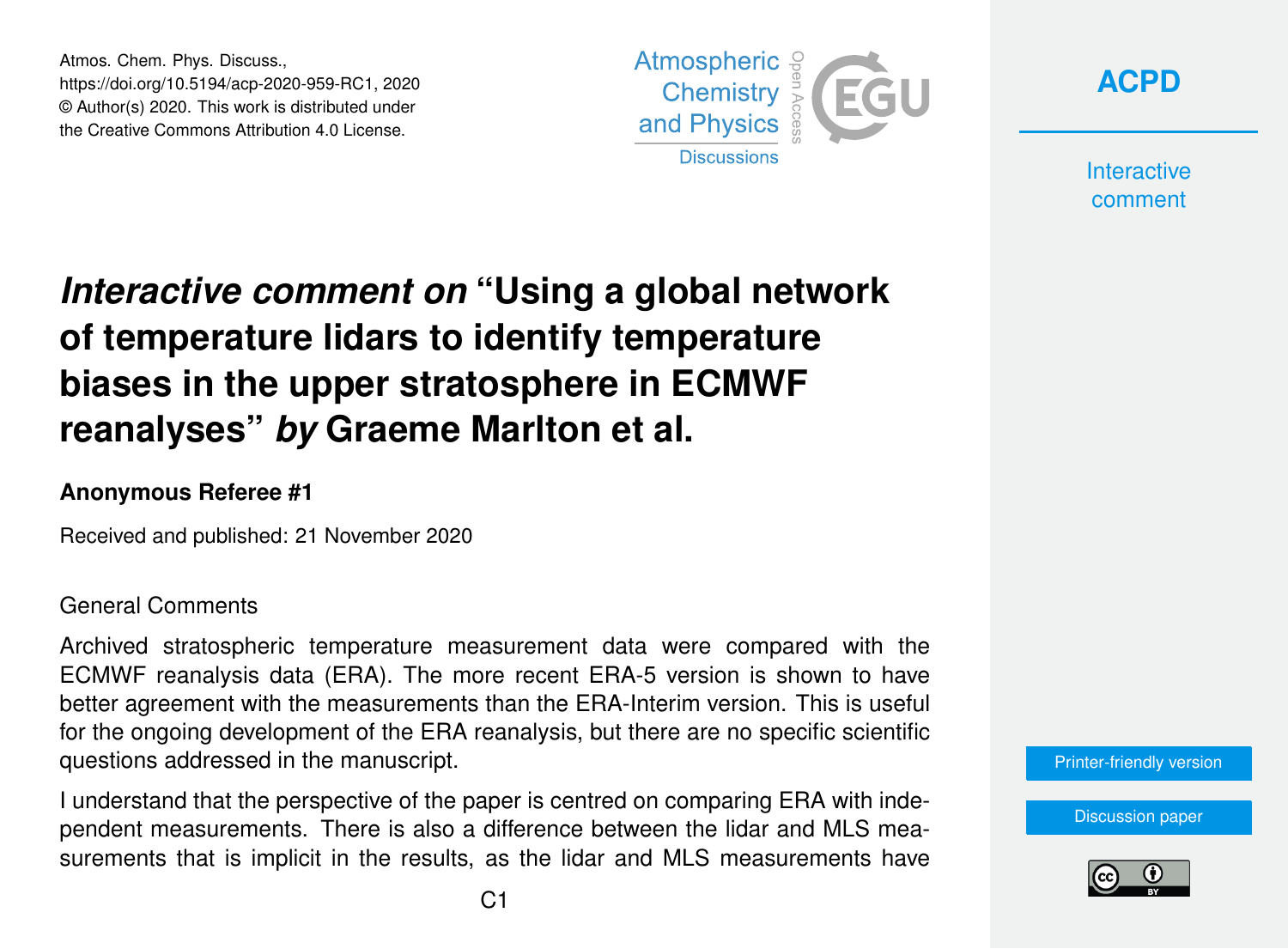Atmos. Chem. Phys. Discuss., https://doi.org/10.5194/acp-2020-959-RC1, 2020 © Author(s) 2020. This work is distributed under the Creative Commons Attribution 4.0 License.





**Interactive** comment

# *Interactive comment on* **"Using a global network of temperature lidars to identify temperature biases in the upper stratosphere in ECMWF reanalyses"** *by* **Graeme Marlton et al.**

### **Anonymous Referee #1**

Received and published: 21 November 2020

#### General Comments

Archived stratospheric temperature measurement data were compared with the ECMWF reanalysis data (ERA). The more recent ERA-5 version is shown to have better agreement with the measurements than the ERA-Interim version. This is useful for the ongoing development of the ERA reanalysis, but there are no specific scientific questions addressed in the manuscript.

I understand that the perspective of the paper is centred on comparing ERA with independent measurements. There is also a difference between the lidar and MLS measurements that is implicit in the results, as the lidar and MLS measurements have [Printer-friendly version](https://acp.copernicus.org/preprints/acp-2020-959/acp-2020-959-RC1-print.pdf)

[Discussion paper](https://acp.copernicus.org/preprints/acp-2020-959)

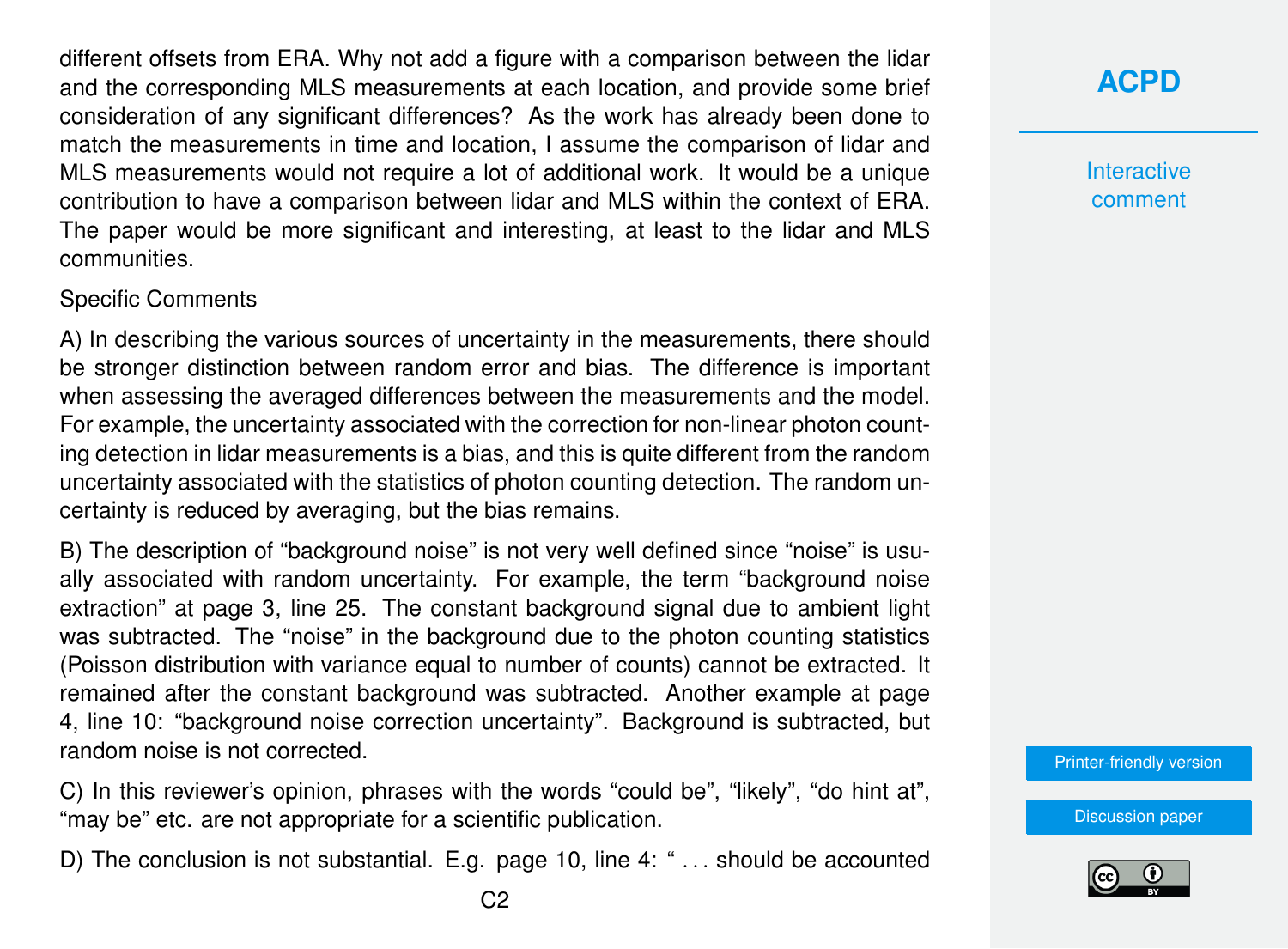different offsets from ERA. Why not add a figure with a comparison between the lidar and the corresponding MLS measurements at each location, and provide some brief consideration of any significant differences? As the work has already been done to match the measurements in time and location, I assume the comparison of lidar and MLS measurements would not require a lot of additional work. It would be a unique contribution to have a comparison between lidar and MLS within the context of ERA. The paper would be more significant and interesting, at least to the lidar and MLS communities.

#### Specific Comments

A) In describing the various sources of uncertainty in the measurements, there should be stronger distinction between random error and bias. The difference is important when assessing the averaged differences between the measurements and the model. For example, the uncertainty associated with the correction for non-linear photon counting detection in lidar measurements is a bias, and this is quite different from the random uncertainty associated with the statistics of photon counting detection. The random uncertainty is reduced by averaging, but the bias remains.

B) The description of "background noise" is not very well defined since "noise" is usually associated with random uncertainty. For example, the term "background noise extraction" at page 3, line 25. The constant background signal due to ambient light was subtracted. The "noise" in the background due to the photon counting statistics (Poisson distribution with variance equal to number of counts) cannot be extracted. It remained after the constant background was subtracted. Another example at page 4, line 10: "background noise correction uncertainty". Background is subtracted, but random noise is not corrected.

C) In this reviewer's opinion, phrases with the words "could be", "likely", "do hint at", "may be" etc. are not appropriate for a scientific publication.

D) The conclusion is not substantial. E.g. page 10, line 4: "... should be accounted

**Interactive** comment

[Printer-friendly version](https://acp.copernicus.org/preprints/acp-2020-959/acp-2020-959-RC1-print.pdf)

[Discussion paper](https://acp.copernicus.org/preprints/acp-2020-959)